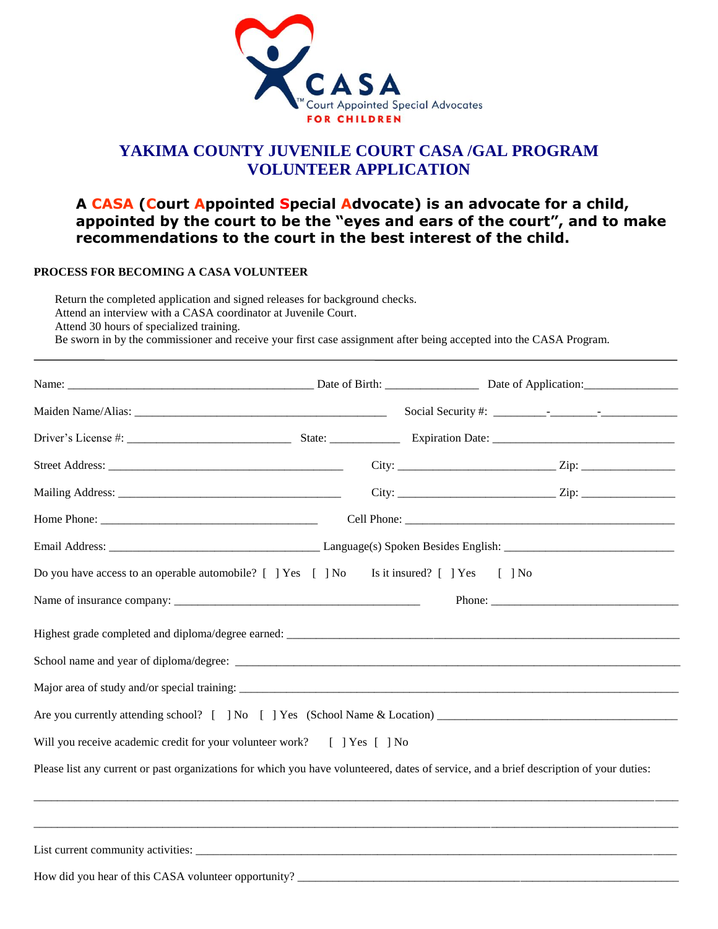

# **YAKIMA COUNTY JUVENILE COURT CASA /GAL PROGRAM VOLUNTEER APPLICATION**

### **A CASA (Court Appointed Special Advocate) is an advocate for a child, appointed by the court to be the "eyes and ears of the court", and to make recommendations to the court in the best interest of the child.**

#### **PROCESS FOR BECOMING A CASA VOLUNTEER**

Return the completed application and signed releases for background checks. Attend an interview with a CASA coordinator at Juvenile Court. Attend 30 hours of specialized training. Be sworn in by the commissioner and receive your first case assignment after being accepted into the CASA Program.

| Do you have access to an operable automobile? [ ] Yes [ ] No Is it insured? [ ] Yes [ ] No                                              |  |  |  |  |
|-----------------------------------------------------------------------------------------------------------------------------------------|--|--|--|--|
|                                                                                                                                         |  |  |  |  |
|                                                                                                                                         |  |  |  |  |
|                                                                                                                                         |  |  |  |  |
|                                                                                                                                         |  |  |  |  |
|                                                                                                                                         |  |  |  |  |
| Will you receive academic credit for your volunteer work? [ ] Yes [ ] No                                                                |  |  |  |  |
| Please list any current or past organizations for which you have volunteered, dates of service, and a brief description of your duties: |  |  |  |  |
|                                                                                                                                         |  |  |  |  |
|                                                                                                                                         |  |  |  |  |
|                                                                                                                                         |  |  |  |  |
|                                                                                                                                         |  |  |  |  |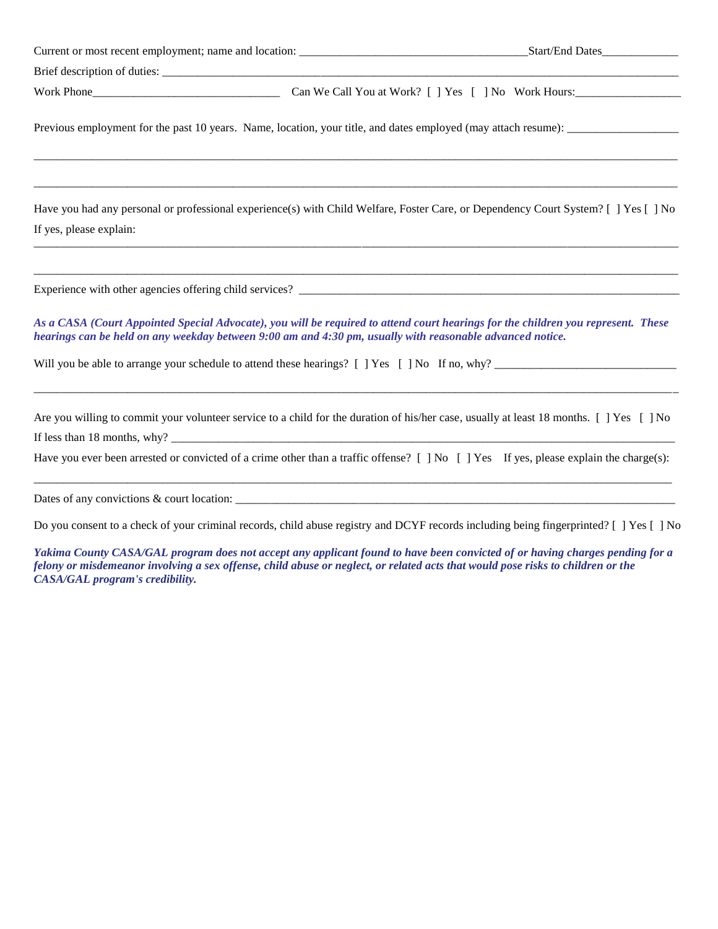|                                                                                                                                        |  | Start/End Dates                                                                                                                         |  |  |
|----------------------------------------------------------------------------------------------------------------------------------------|--|-----------------------------------------------------------------------------------------------------------------------------------------|--|--|
|                                                                                                                                        |  |                                                                                                                                         |  |  |
|                                                                                                                                        |  |                                                                                                                                         |  |  |
|                                                                                                                                        |  |                                                                                                                                         |  |  |
|                                                                                                                                        |  | Have you had any personal or professional experience(s) with Child Welfare, Foster Care, or Dependency Court System? [ ] Yes [ ] No     |  |  |
| If yes, please explain:                                                                                                                |  |                                                                                                                                         |  |  |
|                                                                                                                                        |  |                                                                                                                                         |  |  |
| hearings can be held on any weekday between 9:00 am and 4:30 pm, usually with reasonable advanced notice.                              |  | As a CASA (Court Appointed Special Advocate), you will be required to attend court hearings for the children you represent. These       |  |  |
|                                                                                                                                        |  | Will you be able to arrange your schedule to attend these hearings? [ ] Yes [ ] No If no, why?                                          |  |  |
|                                                                                                                                        |  | Are you willing to commit your volunteer service to a child for the duration of his/her case, usually at least 18 months. [] Yes [] No  |  |  |
|                                                                                                                                        |  |                                                                                                                                         |  |  |
| Have you ever been arrested or convicted of a crime other than a traffic offense? [ ] No [ ] Yes If yes, please explain the charge(s): |  |                                                                                                                                         |  |  |
|                                                                                                                                        |  |                                                                                                                                         |  |  |
|                                                                                                                                        |  | Do you consent to a check of your criminal records, child abuse registry and DCYF records including being fingerprinted? [ ] Yes [ ] No |  |  |

*Yakima County CASA/GAL program does not accept any applicant found to have been convicted of or having charges pending for a felony or misdemeanor involving a sex offense, child abuse or neglect, or related acts that would pose risks to children or the CASA/GAL program's credibility.*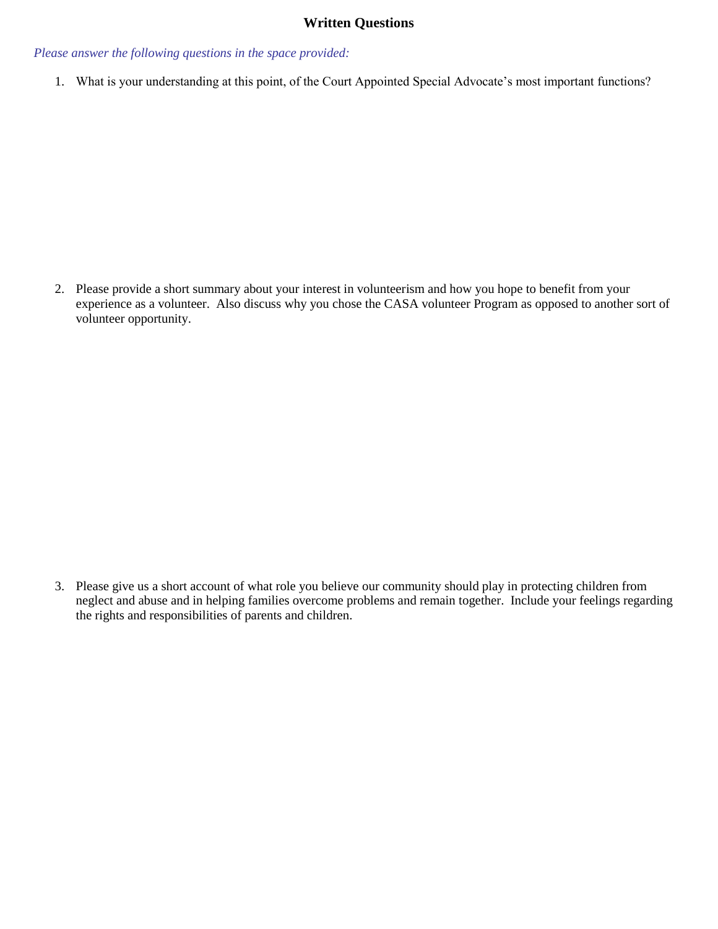## **Written Questions**

#### *Please answer the following questions in the space provided:*

1. What is your understanding at this point, of the Court Appointed Special Advocate's most important functions?

2. Please provide a short summary about your interest in volunteerism and how you hope to benefit from your experience as a volunteer. Also discuss why you chose the CASA volunteer Program as opposed to another sort of volunteer opportunity.

3. Please give us a short account of what role you believe our community should play in protecting children from neglect and abuse and in helping families overcome problems and remain together. Include your feelings regarding the rights and responsibilities of parents and children.